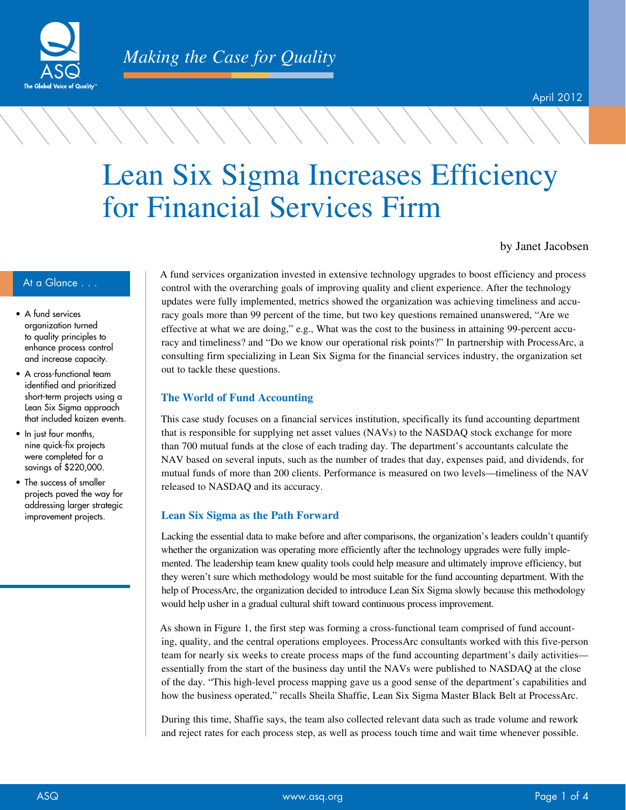

# Lean Six Sigma Increases Efficiency for Financial Services Firm

by Janet Jacobsen

- A fund services organization turned to quality principles to enhance process control and increase capacity.
- A cross-functional team identified and prioritized short-term projects using a Lean Six Sigma approach that included kaizen events.
- In just four months, nine quick-fix projects were completed for a savings of \$220,000.
- The success of smaller projects paved the way for addressing larger strategic improvement projects.

At a Glance . . . A fund services organization invested in extensive technology upgrades to boost efficiency and process control with the overarching goals of improving quality and client experience. After the technology updates were fully implemented, metrics showed the organization was achieving timeliness and accuracy goals more than 99 percent of the time, but two key questions remained unanswered, "Are we effective at what we are doing," e.g., What was the cost to the business in attaining 99-percent accuracy and timeliness? and "Do we know our operational risk points?" In partnership with ProcessArc, a consulting firm specializing in Lean Six Sigma for the financial services industry, the organization set out to tackle these questions.

#### **The World of Fund Accounting**

This case study focuses on a financial services institution, specifically its fund accounting department that is responsible for supplying net asset values (NAVs) to the NASDAQ stock exchange for more than 700 mutual funds at the close of each trading day. The department's accountants calculate the NAV based on several inputs, such as the number of trades that day, expenses paid, and dividends, for mutual funds of more than 200 clients. Performance is measured on two levels—timeliness of the NAV released to NASDAQ and its accuracy.

#### **Lean Six Sigma as the Path Forward**

Lacking the essential data to make before and after comparisons, the organization's leaders couldn't quantify whether the organization was operating more efficiently after the technology upgrades were fully implemented. The leadership team knew quality tools could help measure and ultimately improve efficiency, but they weren't sure which methodology would be most suitable for the fund accounting department. With the help of ProcessArc, the organization decided to introduce Lean Six Sigma slowly because this methodology would help usher in a gradual cultural shift toward continuous process improvement.

As shown in Figure 1, the first step was forming a cross-functional team comprised of fund accounting, quality, and the central operations employees. ProcessArc consultants worked with this five-person team for nearly six weeks to create process maps of the fund accounting department's daily activities essentially from the start of the business day until the NAVs were published to NASDAQ at the close of the day. "This high-level process mapping gave us a good sense of the department's capabilities and how the business operated," recalls Sheila Shaffie, Lean Six Sigma Master Black Belt at ProcessArc.

During this time, Shaffie says, the team also collected relevant data such as trade volume and rework and reject rates for each process step, as well as process touch time and wait time whenever possible.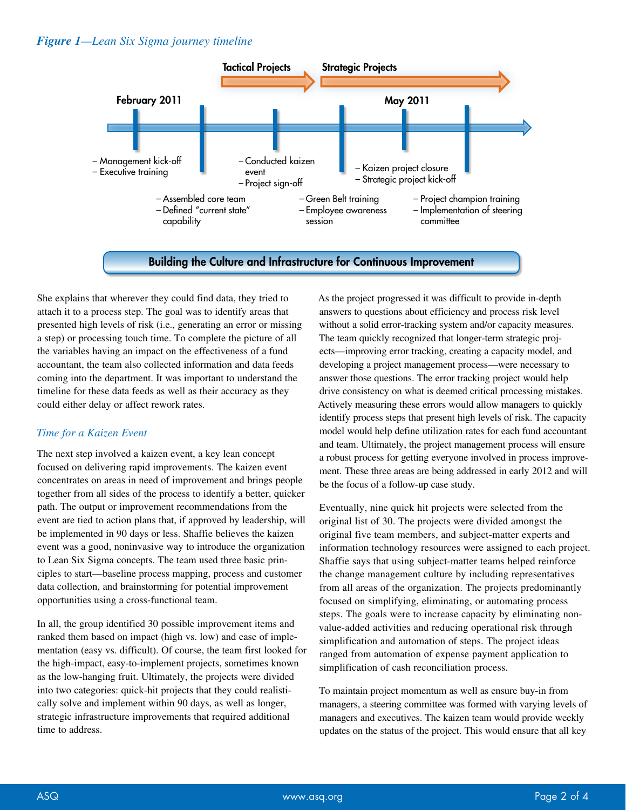#### *Figure 1—Lean Six Sigma journey timeline*



She explains that wherever they could find data, they tried to attach it to a process step. The goal was to identify areas that presented high levels of risk (i.e., generating an error or missing a step) or processing touch time. To complete the picture of all the variables having an impact on the effectiveness of a fund accountant, the team also collected information and data feeds coming into the department. It was important to understand the timeline for these data feeds as well as their accuracy as they could either delay or affect rework rates.

# *Time for a Kaizen Event*

The next step involved a kaizen event, a key lean concept focused on delivering rapid improvements. The kaizen event concentrates on areas in need of improvement and brings people together from all sides of the process to identify a better, quicker path. The output or improvement recommendations from the event are tied to action plans that, if approved by leadership, will be implemented in 90 days or less. Shaffie believes the kaizen event was a good, noninvasive way to introduce the organization to Lean Six Sigma concepts. The team used three basic principles to start—baseline process mapping, process and customer data collection, and brainstorming for potential improvement opportunities using a cross-functional team.

In all, the group identified 30 possible improvement items and ranked them based on impact (high vs. low) and ease of implementation (easy vs. difficult). Of course, the team first looked for the high-impact, easy-to-implement projects, sometimes known as the low-hanging fruit. Ultimately, the projects were divided into two categories: quick-hit projects that they could realistically solve and implement within 90 days, as well as longer, strategic infrastructure improvements that required additional time to address.

As the project progressed it was difficult to provide in-depth answers to questions about efficiency and process risk level without a solid error-tracking system and/or capacity measures. The team quickly recognized that longer-term strategic projects—improving error tracking, creating a capacity model, and developing a project management process—were necessary to answer those questions. The error tracking project would help drive consistency on what is deemed critical processing mistakes. Actively measuring these errors would allow managers to quickly identify process steps that present high levels of risk. The capacity model would help define utilization rates for each fund accountant and team. Ultimately, the project management process will ensure a robust process for getting everyone involved in process improvement. These three areas are being addressed in early 2012 and will be the focus of a follow-up case study.

Eventually, nine quick hit projects were selected from the original list of 30. The projects were divided amongst the original five team members, and subject-matter experts and information technology resources were assigned to each project. Shaffie says that using subject-matter teams helped reinforce the change management culture by including representatives from all areas of the organization. The projects predominantly focused on simplifying, eliminating, or automating process steps. The goals were to increase capacity by eliminating nonvalue-added activities and reducing operational risk through simplification and automation of steps. The project ideas ranged from automation of expense payment application to simplification of cash reconciliation process.

To maintain project momentum as well as ensure buy-in from managers, a steering committee was formed with varying levels of managers and executives. The kaizen team would provide weekly updates on the status of the project. This would ensure that all key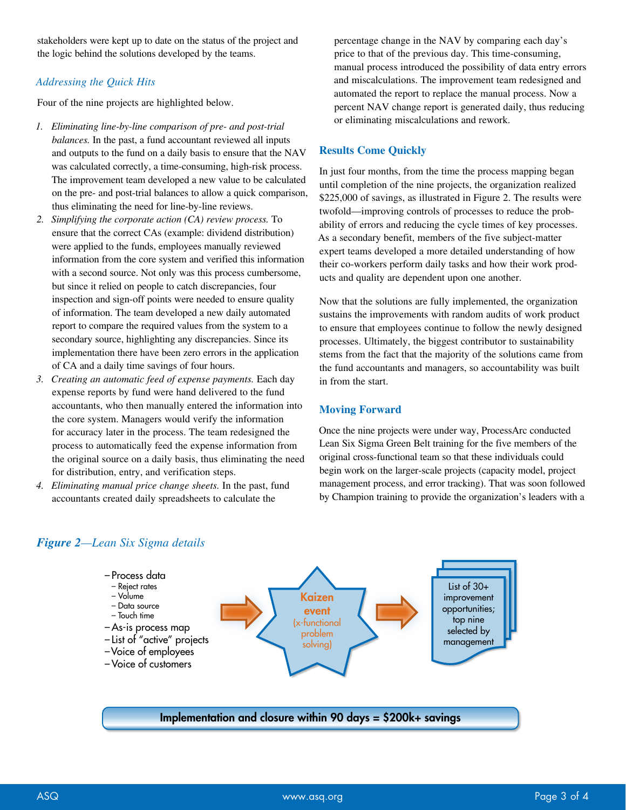stakeholders were kept up to date on the status of the project and the logic behind the solutions developed by the teams.

## *Addressing the Quick Hits*

Four of the nine projects are highlighted below.

- *1. Eliminating line-by-line comparison of pre- and post-trial balances.* In the past, a fund accountant reviewed all inputs and outputs to the fund on a daily basis to ensure that the NAV was calculated correctly, a time-consuming, high-risk process. The improvement team developed a new value to be calculated on the pre- and post-trial balances to allow a quick comparison, thus eliminating the need for line-by-line reviews.
- *2. Simplifying the corporate action (CA) review process.* To ensure that the correct CAs (example: dividend distribution) were applied to the funds, employees manually reviewed information from the core system and verified this information with a second source. Not only was this process cumbersome, but since it relied on people to catch discrepancies, four inspection and sign-off points were needed to ensure quality of information. The team developed a new daily automated report to compare the required values from the system to a secondary source, highlighting any discrepancies. Since its implementation there have been zero errors in the application of CA and a daily time savings of four hours.
- *3. Creating an automatic feed of expense payments.* Each day expense reports by fund were hand delivered to the fund accountants, who then manually entered the information into the core system. Managers would verify the information for accuracy later in the process. The team redesigned the process to automatically feed the expense information from the original source on a daily basis, thus eliminating the need for distribution, entry, and verification steps.
- *4. Eliminating manual price change sheets.* In the past, fund accountants created daily spreadsheets to calculate the

percentage change in the NAV by comparing each day's price to that of the previous day. This time-consuming, manual process introduced the possibility of data entry errors and miscalculations. The improvement team redesigned and automated the report to replace the manual process. Now a percent NAV change report is generated daily, thus reducing or eliminating miscalculations and rework.

## **Results Come Quickly**

In just four months, from the time the process mapping began until completion of the nine projects, the organization realized \$225,000 of savings, as illustrated in Figure 2. The results were twofold—improving controls of processes to reduce the probability of errors and reducing the cycle times of key processes. As a secondary benefit, members of the five subject-matter expert teams developed a more detailed understanding of how their co-workers perform daily tasks and how their work products and quality are dependent upon one another.

Now that the solutions are fully implemented, the organization sustains the improvements with random audits of work product to ensure that employees continue to follow the newly designed processes. Ultimately, the biggest contributor to sustainability stems from the fact that the majority of the solutions came from the fund accountants and managers, so accountability was built in from the start.

# **Moving Forward**

Once the nine projects were under way, ProcessArc conducted Lean Six Sigma Green Belt training for the five members of the original cross-functional team so that these individuals could begin work on the larger-scale projects (capacity model, project management process, and error tracking). That was soon followed by Champion training to provide the organization's leaders with a



# *Figure 2—Lean Six Sigma details*